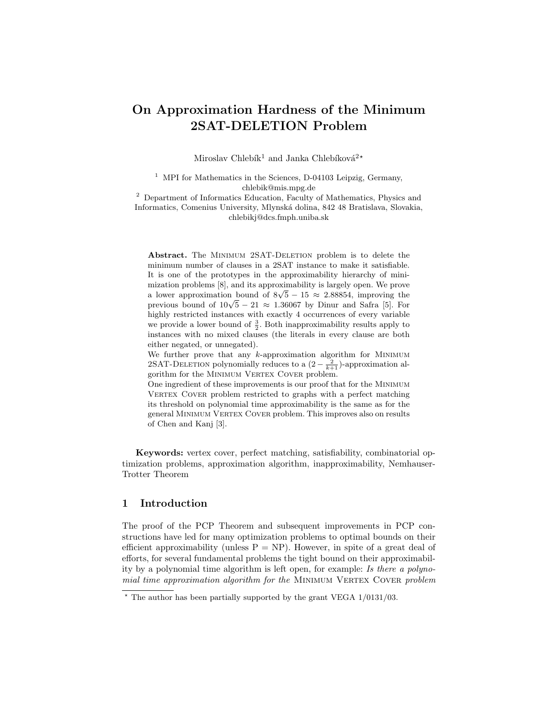# On Approximation Hardness of the Minimum 2SAT-DELETION Problem

Miroslav Chlebík<sup>1</sup> and Janka Chlebíková<sup>2\*</sup>

<sup>1</sup> MPI for Mathematics in the Sciences, D-04103 Leipzig, Germany, chlebik@mis.mpg.de

<sup>2</sup> Department of Informatics Education, Faculty of Mathematics, Physics and Informatics, Comenius University, Mlynská dolina, 842 48 Bratislava, Slovakia, chlebikj@dcs.fmph.uniba.sk

Abstract. The MINIMUM 2SAT-DELETION problem is to delete the minimum number of clauses in a 2SAT instance to make it satisfiable. It is one of the prototypes in the approximability hierarchy of minimization problems [8], and its approximability is largely open. We prove mization problems [8], and its approximability is largely open. We prove<br>a lower approximation bound of  $8\sqrt{5} - 15 \approx 2.88854$ , improving the a lower approximation bound of  $8\sqrt{5} - 15 \approx 2.88854$ , improving the previous bound of  $10\sqrt{5} - 21 \approx 1.36067$  by Dinur and Safra [5]. For highly restricted instances with exactly 4 occurrences of every variable we provide a lower bound of  $\frac{3}{2}$ . Both inapproximability results apply to instances with no mixed clauses (the literals in every clause are both either negated, or unnegated).

We further prove that any  $k$ -approximation algorithm for MINIMUM 2SAT-DELETION polynomially reduces to a  $(2 - \frac{2}{k+1})$ -approximation algorithm for the MINIMUM VERTEX COVER problem.

One ingredient of these improvements is our proof that for the Minimum VERTEX COVER problem restricted to graphs with a perfect matching its threshold on polynomial time approximability is the same as for the general MINIMUM VERTEX COVER problem. This improves also on results of Chen and Kanj [3].

Keywords: vertex cover, perfect matching, satisfiability, combinatorial optimization problems, approximation algorithm, inapproximability, Nemhauser-Trotter Theorem

## 1 Introduction

The proof of the PCP Theorem and subsequent improvements in PCP constructions have led for many optimization problems to optimal bounds on their efficient approximability (unless  $P = NP$ ). However, in spite of a great deal of efforts, for several fundamental problems the tight bound on their approximability by a polynomial time algorithm is left open, for example: Is there a polynomial time approximation algorithm for the MINIMUM VERTEX COVER problem

 $*$  The author has been partially supported by the grant VEGA  $1/0131/03$ .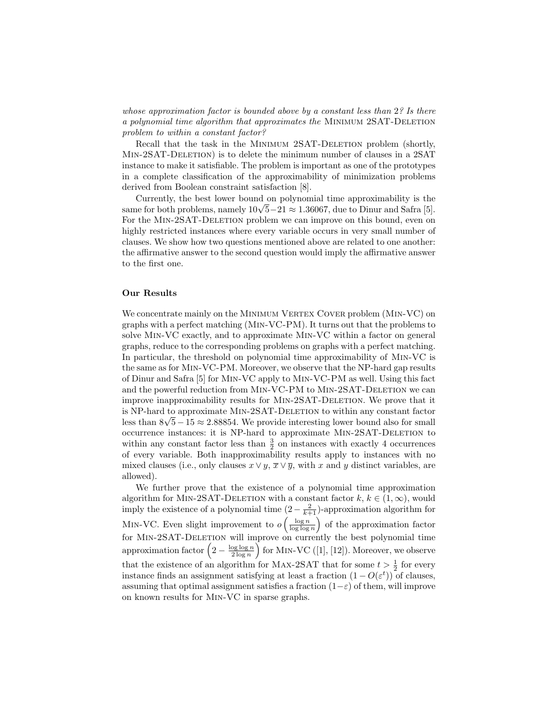whose approximation factor is bounded above by a constant less than 2? Is there a polynomial time algorithm that approximates the Minimum 2SAT-Deletion problem to within a constant factor?

Recall that the task in the MINIMUM 2SAT-DELETION problem (shortly, MIN-2SAT-DELETION) is to delete the minimum number of clauses in a 2SAT instance to make it satisfiable. The problem is important as one of the prototypes in a complete classification of the approximability of minimization problems derived from Boolean constraint satisfaction [8].

Currently, the best lower bound on polynomial time approximability is the Currently, the best lower bound on polynomial time approximability is the same for both problems, namely  $10\sqrt{5}-21 \approx 1.36067$ , due to Dinur and Safra [5]. For the MIN-2SAT-DELETION problem we can improve on this bound, even on highly restricted instances where every variable occurs in very small number of clauses. We show how two questions mentioned above are related to one another: the affirmative answer to the second question would imply the affirmative answer to the first one.

### Our Results

We concentrate mainly on the MINIMUM VERTEX COVER problem (MIN-VC) on graphs with a perfect matching (Min-VC-PM). It turns out that the problems to solve Min-VC exactly, and to approximate Min-VC within a factor on general graphs, reduce to the corresponding problems on graphs with a perfect matching. In particular, the threshold on polynomial time approximability of Min-VC is the same as for Min-VC-PM. Moreover, we observe that the NP-hard gap results of Dinur and Safra [5] for Min-VC apply to Min-VC-PM as well. Using this fact and the powerful reduction from MIN-VC-PM to MIN-2SAT-DELETION we can improve inapproximability results for Min-2SAT-Deletion. We prove that it is NP-hard to approximate Min-2SAT-Deletion to within any constant factor is NP-nard to approximate MIN-2SA1-DELETION to within any constant factor<br>less than 8√5 – 15 ≈ 2.88854. We provide interesting lower bound also for small occurrence instances: it is NP-hard to approximate Min-2SAT-Deletion to within any constant factor less than  $\frac{3}{2}$  on instances with exactly 4 occurrences of every variable. Both inapproximability results apply to instances with no mixed clauses (i.e., only clauses  $x \vee y$ ,  $\overline{x} \vee \overline{y}$ , with x and y distinct variables, are allowed).

We further prove that the existence of a polynomial time approximation algorithm for MIN-2SAT-DELETION with a constant factor  $k, k \in (1, \infty)$ , would imply the existence of a polynomial time  $(2 - \frac{2}{k+1})$ -approximation algorithm for MIN-VC. Even slight improvement to  $o$  $\left(\frac{\log n}{\log \log n}\right)$ ´ of the approximation factor for MIN-2SAT-DELETION will improve on currently the best polynomial time for MIN-2SAT-DELETION will improve on currently the best polynomial time<br>approximation factor  $\left(2-\frac{\log\log n}{2\log n}\right)$  for MIN-VC ([1], [12]). Moreover, we observe that the existence of an algorithm for MAX-2SAT that for some  $t > \frac{1}{2}$  for every instance finds an assignment satisfying at least a fraction  $(1 - O(\varepsilon^t))$  of clauses, assuming that optimal assignment satisfies a fraction  $(1-\varepsilon)$  of them, will improve on known results for Min-VC in sparse graphs.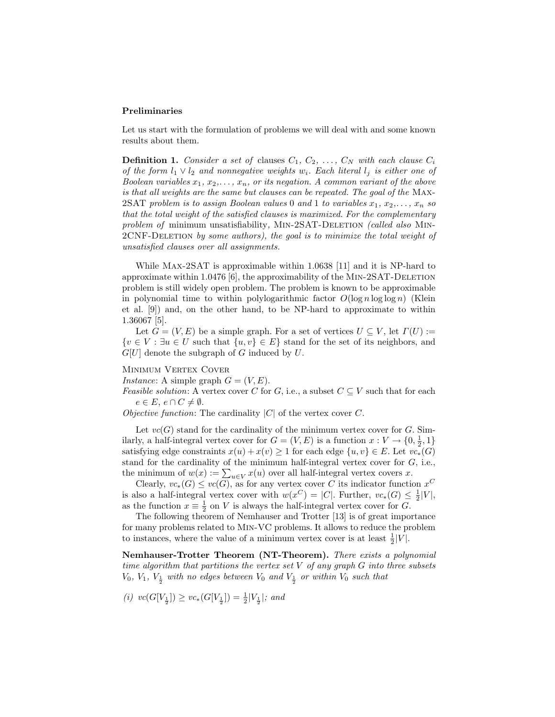#### Preliminaries

Let us start with the formulation of problems we will deal with and some known results about them.

**Definition 1.** Consider a set of clauses  $C_1, C_2, \ldots, C_N$  with each clause  $C_i$ of the form  $l_1 \vee l_2$  and nonnegative weights  $w_i$ . Each literal  $l_j$  is either one of Boolean variables  $x_1, x_2, \ldots, x_n$ , or its negation. A common variant of the above is that all weights are the same but clauses can be repeated. The goal of the Max-2SAT problem is to assign Boolean values 0 and 1 to variables  $x_1, x_2, \ldots, x_n$  so that the total weight of the satisfied clauses is maximized. For the complementary problem of minimum unsatisfiability, MIN-2SAT-DELETION (called also MIN-2CNF-Deletion by some authors), the goal is to minimize the total weight of unsatisfied clauses over all assignments.

While Max-2SAT is approximable within 1.0638 [11] and it is NP-hard to approximate within 1.0476  $[6]$ , the approximability of the MIN-2SAT-DELETION problem is still widely open problem. The problem is known to be approximable in polynomial time to within polylogarithmic factor  $O(\log n \log \log n)$  (Klein et al. [9]) and, on the other hand, to be NP-hard to approximate to within 1.36067 [5].

Let  $G = (V, E)$  be a simple graph. For a set of vertices  $U \subseteq V$ , let  $\Gamma(U) :=$  ${v \in V : \exists u \in U \text{ such that } \{u, v\} \in E}$  stand for the set of its neighbors, and  $G[U]$  denote the subgraph of G induced by U.

MINIMUM VERTEX COVER

*Instance*: A simple graph  $G = (V, E)$ .

Feasible solution: A vertex cover C for G, i.e., a subset  $C \subseteq V$  such that for each  $e \in E, e \cap C \neq \emptyset.$ 

Objective function: The cardinality  $|C|$  of the vertex cover C.

Let  $vc(G)$  stand for the cardinality of the minimum vertex cover for G. Similarly, a half-integral vertex cover for  $G = (V, E)$  is a function  $x : V \to \{0, \frac{1}{2}, 1\}$ satisfying edge constraints  $x(u) + x(v) \geq 1$  for each edge  $\{u, v\} \in E$ . Let  $vc_*(G)$ stand for the cardinality of the minimum half-integral vertex cover for  $G$ , i.e., stand for the cardinality of the minimum half-integral vertex cover for G<br>the minimum of  $w(x) := \sum_{u \in V} x(u)$  over all half-integral vertex covers x.

Clearly,  $vc_*(G) \leq vc(G)$ , as for any vertex cover C its indicator function  $x^C$ is also a half-integral vertex cover with  $w(x^C) = |C|$ . Further,  $vc_*(G) \leq \frac{1}{2}|V|$ , as the function  $x \equiv \frac{1}{2}$  on V is always the half-integral vertex cover for G.

The following theorem of Nemhauser and Trotter [13] is of great importance for many problems related to Min-VC problems. It allows to reduce the problem to instances, where the value of a minimum vertex cover is at least  $\frac{1}{2}|V|$ .

Nemhauser-Trotter Theorem (NT-Theorem). There exists a polynomial time algorithm that partitions the vertex set  $V$  of any graph  $G$  into three subsets  $V_0$ ,  $V_1$ ,  $V_{\frac{1}{2}}$  with no edges between  $V_0$  and  $V_{\frac{1}{2}}$  or within  $V_0$  such that

$$
(i)\ \ vc(G[V_{\frac{1}{2}}]) \geq vc_*(G[V_{\frac{1}{2}}]) = \frac{1}{2}|V_{\frac{1}{2}}|; \ and
$$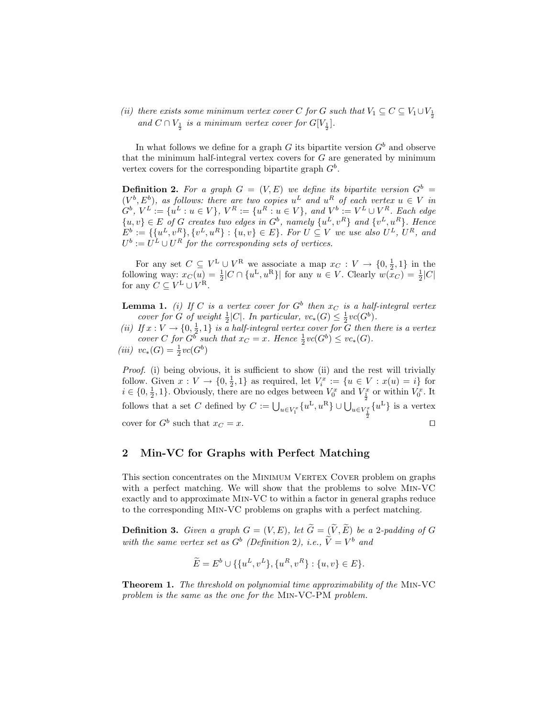(ii) there exists some minimum vertex cover C for G such that  $V_1 \subseteq C \subseteq V_1 \cup V_{\frac{1}{2}}$ and  $C \cap V_{\frac{1}{2}}$  is a minimum vertex cover for  $G[V_{\frac{1}{2}}]$ .

In what follows we define for a graph  $G$  its bipartite version  $G<sup>b</sup>$  and observe that the minimum half-integral vertex covers for  $G$  are generated by minimum vertex covers for the corresponding bipartite graph  $G^b$ .

**Definition 2.** For a graph  $G = (V, E)$  we define its bipartite version  $G^b$  $(V^b, E^b)$ , as follows: there are two copies  $u^L$  and  $u^R$  of each vertex  $u \in V$  in  $G^b, V^L := \{u^L : u \in V\}, V^R := \{u^R : u \in V\}, \text{ and } V^b := V^L \cup V^R. \text{ Each edge}$  $\{u, v\} \in E$  of G creates two edges in  $G^b$ , namely  $\{u^L, v^R\}$  and  $\{v^L, u^R\}$ . Hence  $E^b := \{ \{u^L, v^R\}, \{v^L, u^R\} : \{u, v\} \in E \}$ . For  $U \subseteq V$  we use also  $U^L$ ,  $U^R$ , and  $U^b := U^L \cup U^R$  for the corresponding sets of vertices.

For any set  $C \subseteq V^L \cup V^R$  we associate a map  $x_C : V \to \{0, \frac{1}{2}, 1\}$  in the following way:  $x_C(u) = \frac{1}{2}|C \cap \{u^L, u^R\}|$  for any  $u \in V$ . Clearly  $w(x_C) = \frac{1}{2}|C|$ for any  $C \subseteq V^{\mathcal{L}} \cup V^{\mathcal{R}}$ .

**Lemma 1.** (i) If C is a vertex cover for  $G^b$  then  $x_C$  is a half-integral vertex cover for G of weight  $\frac{1}{2}|C|$ . In particular,  $vc_*(G) \leq \frac{1}{2}vc(G^b)$ .

(ii) If  $x : V \to \{0, \frac{1}{2}, 1\}$  is a half-integral vertex cover for G then there is a vertex cover C for  $G^b$  such that  $x_C = x$ . Hence  $\frac{1}{2}vc(G^b) \leq vc_*(G)$ .

$$
(iii) \ \ vc_*(G) = \frac{1}{2}vc(G^b)
$$

Proof. (i) being obvious, it is sufficient to show (ii) and the rest will trivially follow. Given  $x: V \to \{0, \frac{1}{2}, 1\}$  as required, let  $V_i^x := \{u \in V : x(u) = i\}$  for  $i \in \{0, \frac{1}{2}, 1\}$ . Obviously, there are no edges between  $V_0^x$  and  $V_{\frac{1}{2}}^x$  or within  $V_0^x$ . It follows that a set C defined by  $C := \bigcup_{u \in V_1^x} \{u^L, u^R\} \cup \bigcup_{u \in V_{\frac{1}{2}}}$  $\{u^{\text{L}}\}\$ is a vertex cover for  $G^b$  such that  $x_C = x$ .

# 2 Min-VC for Graphs with Perfect Matching

This section concentrates on the MINIMUM VERTEX COVER problem on graphs with a perfect matching. We will show that the problems to solve Min-VC exactly and to approximate Min-VC to within a factor in general graphs reduce to the corresponding Min-VC problems on graphs with a perfect matching.

**Definition 3.** Given a graph  $G = (V, E)$ , let  $\widetilde{G} = (\widetilde{V}, \widetilde{E})$  be a 2-padding of G with the same vertex set as  $G^b$  (Definition 2), i.e.,  $\widetilde{V} = V^b$  and

$$
\widetilde{E} = E^b \cup \{ \{u^L, v^L\}, \{u^R, v^R\} : \{u, v\} \in E \}.
$$

Theorem 1. The threshold on polynomial time approximability of the Min-VC problem is the same as the one for the Min-VC-PM problem.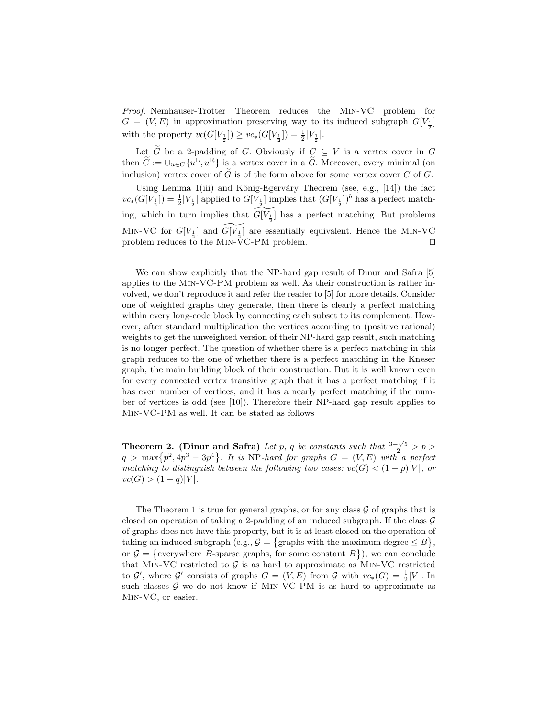Proof. Nemhauser-Trotter Theorem reduces the Min-VC problem for  $G = (V, E)$  in approximation preserving way to its induced subgraph  $G[V_{\frac{1}{2}}]$ with the property  $vc(G[V_{\frac{1}{2}}]) \geq vc_*(G[V_{\frac{1}{2}}]) = \frac{1}{2}|V_{\frac{1}{2}}|$ .

Let  $\widetilde{G}$  be a 2-padding of G. Obviously if  $C \subseteq V$  is a vertex cover in G then  $\tilde{C} := \cup_{u \in C} \{u^{\tilde{L}}, u^{\tilde{R}}\}$  is a vertex cover in a  $\tilde{G}$ . Moreover, every minimal (on inclusion) vertex cover of  $\tilde{G}$  is of the form above for some vertex cover C of G.

Using Lemma 1(iii) and König-Egerváry Theorem (see, e.g., [14]) the fact  $vc_*(G[V_{\frac{1}{2}}]) = \frac{1}{2} |V_{\frac{1}{2}}|$  applied to  $G[V_{\frac{1}{2}}]$  implies that  $(G[V_{\frac{1}{2}}])^b$  has a perfect matching, which in turn implies that  $\widetilde{G[V_{\frac{1}{2}}]}$  has a perfect matching. But problems MIN-VC for  $G[V_{\frac{1}{2}}]$  and  $\widetilde{G[V_{\frac{1}{2}}]}$  are essentially equivalent. Hence the MIN-VC problem reduces to the MIN- $\overline{V}$ C-PM problem.

We can show explicitly that the NP-hard gap result of Dinur and Safra [5] applies to the Min-VC-PM problem as well. As their construction is rather involved, we don't reproduce it and refer the reader to [5] for more details. Consider one of weighted graphs they generate, then there is clearly a perfect matching within every long-code block by connecting each subset to its complement. However, after standard multiplication the vertices according to (positive rational) weights to get the unweighted version of their NP-hard gap result, such matching is no longer perfect. The question of whether there is a perfect matching in this graph reduces to the one of whether there is a perfect matching in the Kneser graph, the main building block of their construction. But it is well known even for every connected vertex transitive graph that it has a perfect matching if it has even number of vertices, and it has a nearly perfect matching if the number of vertices is odd (see [10]). Therefore their NP-hard gap result applies to Min-VC-PM as well. It can be stated as follows

**Theorem 2.** (Dinur and Safra) Let p, q be constants such that  $\frac{3-\sqrt{5}}{2} > p > q > \max\{p^2, 4p^3 - 3p^4\}$ . It is NP-hard for graphs  $G = (V, E)$  with a perfect . It is NP-hard for graphs  $G = (V, E)$  with a perfect matching to distinguish between the following two cases:  $vc(G) < (1-p)|V|$ , or  $vc(G) > (1-q)|V|.$ 

The Theorem 1 is true for general graphs, or for any class  $\mathcal G$  of graphs that is closed on operation of taking a 2-padding of an induced subgraph. If the class  $\mathcal G$ of graphs does not have this property, but it is at least closed on the operation of © ª taking an induced subgraph (e.g.,  $G = \{$ graphs with the maximum degree  $\leq B\},\$ or  $G = \{$  everywhere B-sparse graphs, for some constant  $B\}$ ), we can conclude that MIN-VC restricted to  $G$  is as hard to approximate as MIN-VC restricted to  $\mathcal{G}'$ , where  $\mathcal{G}'$  consists of graphs  $G = (V, E)$  from  $\mathcal{G}$  with  $vc_*(G) = \frac{1}{2}|V|$ . In such classes  $\mathcal G$  we do not know if MIN-VC-PM is as hard to approximate as Min-VC, or easier.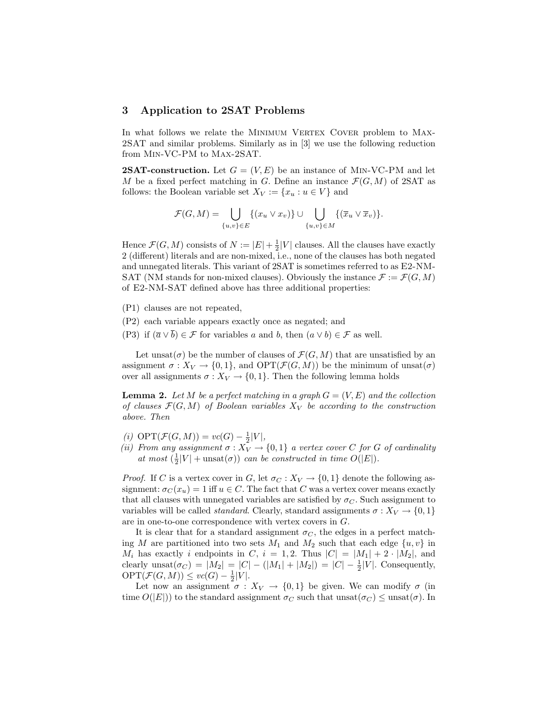### 3 Application to 2SAT Problems

In what follows we relate the MINIMUM VERTEX COVER problem to MAX-2SAT and similar problems. Similarly as in [3] we use the following reduction from Min-VC-PM to Max-2SAT.

**2SAT-construction.** Let  $G = (V, E)$  be an instance of MIN-VC-PM and let M be a fixed perfect matching in G. Define an instance  $\mathcal{F}(G, M)$  of 2SAT as follows: the Boolean variable set  $X_V := \{x_u : u \in V\}$  and

$$
\mathcal{F}(G,M) = \bigcup_{\{u,v\} \in E} \{(x_u \vee x_v)\} \cup \bigcup_{\{u,v\} \in M} \{(\overline{x}_u \vee \overline{x}_v)\}.
$$

Hence  $\mathcal{F}(G, M)$  consists of  $N := |E| + \frac{1}{2}|V|$  clauses. All the clauses have exactly 2 (different) literals and are non-mixed, i.e., none of the clauses has both negated and unnegated literals. This variant of 2SAT is sometimes referred to as E2-NM-SAT (NM stands for non-mixed clauses). Obviously the instance  $\mathcal{F} := \mathcal{F}(G, M)$ of E2-NM-SAT defined above has three additional properties:

- (P1) clauses are not repeated,
- (P2) each variable appears exactly once as negated; and
- (P3) if  $(\overline{a} \vee \overline{b}) \in \mathcal{F}$  for variables a and b, then  $(a \vee b) \in \mathcal{F}$  as well.

Let unsat $(\sigma)$  be the number of clauses of  $\mathcal{F}(G, M)$  that are unsatisfied by an assignment  $\sigma: X_V \to \{0,1\}$ , and  $\text{OPT}(\mathcal{F}(G,M))$  be the minimum of unsat $(\sigma)$ over all assignments  $\sigma: X_V \to \{0, 1\}$ . Then the following lemma holds

**Lemma 2.** Let M be a perfect matching in a graph  $G = (V, E)$  and the collection of clauses  $\mathcal{F}(G, M)$  of Boolean variables  $X_V$  be according to the construction above. Then

- (i)  $\text{OPT}(\mathcal{F}(G,M)) = vc(G) \frac{1}{2}|V|,$
- (ii) From any assignment  $\sigma: X_V \to \{0,1\}$  a vertex cover C for G of cardinality at most  $(\frac{1}{2}|V| + \text{unsat}(\sigma))$  can be constructed in time  $O(|E|)$ .

*Proof.* If C is a vertex cover in G, let  $\sigma_C : X_V \to \{0, 1\}$  denote the following assignment:  $\sigma_C(x_u) = 1$  iff  $u \in C$ . The fact that C was a vertex cover means exactly that all clauses with unnegated variables are satisfied by  $\sigma_C$ . Such assignment to variables will be called *standard*. Clearly, standard assignments  $\sigma: X_V \to \{0, 1\}$ are in one-to-one correspondence with vertex covers in G.

It is clear that for a standard assignment  $\sigma_C$ , the edges in a perfect matching M are partitioned into two sets  $M_1$  and  $M_2$  such that each edge  $\{u, v\}$  in  $M_i$  has exactly i endpoints in C,  $i = 1, 2$ . Thus  $|C| = |M_1| + 2 \cdot |M_2|$ , and clearly  $\text{unsat}(\sigma_C) = |M_2| = |C| - (|M_1| + |M_2|) = |C| - \frac{1}{2}|V|$ . Consequently,  $\mathrm{OPT}(\mathcal{F}(G,M)) \leq vc(G) - \frac{1}{2}|V|.$ 

Let now an assignment  $\sigma : X_V \to \{0,1\}$  be given. We can modify  $\sigma$  (in time  $O(|E|)$  to the standard assignment  $\sigma_C$  such that unsat $(\sigma_C) \leq \text{unsat}(\sigma)$ . In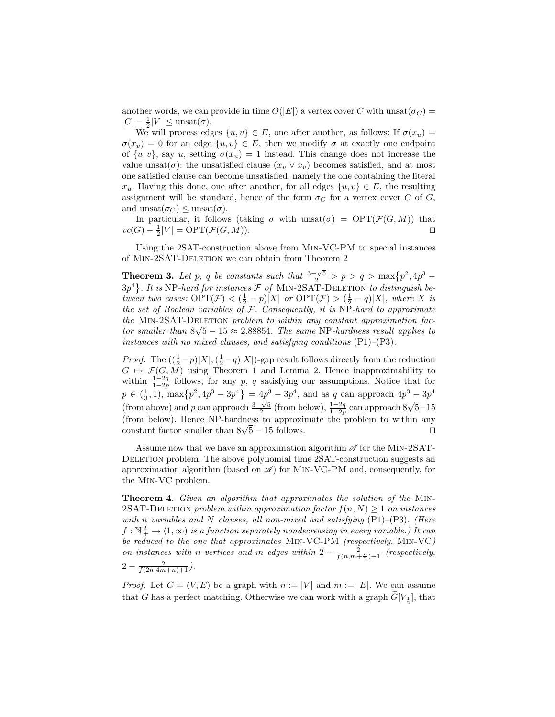another words, we can provide in time  $O(|E|)$  a vertex cover C with unsat $(\sigma_C)$  =  $|C| - \frac{1}{2}|V| \leq \text{unsat}(\sigma).$ 

We will process edges  $\{u, v\} \in E$ , one after another, as follows: If  $\sigma(x_u)$  $\sigma(x_v) = 0$  for an edge  $\{u, v\} \in E$ , then we modify  $\sigma$  at exactly one endpoint of  $\{u, v\}$ , say u, setting  $\sigma(x_u) = 1$  instead. This change does not increase the value unsat $(\sigma)$ : the unsatisfied clause  $(x_u \vee x_v)$  becomes satisfied, and at most one satisfied clause can become unsatisfied, namely the one containing the literal  $\overline{x}_u$ . Having this done, one after another, for all edges  $\{u, v\} \in E$ , the resulting assignment will be standard, hence of the form  $\sigma_C$  for a vertex cover C of G, and unsat $(\sigma_C) \leq$  unsat $(\sigma)$ .

In particular, it follows (taking  $\sigma$  with unsat $(\sigma) = \text{OPT}(\mathcal{F}(G, M))$  that  $vc(G) - \frac{1}{2}|V| = \text{OPT}(\mathcal{F}(G, M)).$ 

Using the 2SAT-construction above from Min-VC-PM to special instances of Min-2SAT-Deletion we can obtain from Theorem 2

**Theorem 3.** Let p, q be constants such that  $\frac{3-\sqrt{5}}{2}$  > p > q > max{p<sup>2</sup>, 4p<sup>3</sup> –  $\frac{1}{3}p^4$ . It is NP-hard for instances  $\mathcal F$  of MIN-2SAT-DELETION to distinguish between two cases:  $\text{OPT}(\mathcal{F}) < (\frac{1}{2} - p)|X|$  or  $\text{OPT}(\mathcal{F}) > (\frac{1}{2} - q)|X|$ , where X is the set of Boolean variables of  $F$ . Consequently, it is NP-hard to approximate the MIN-2SAT-DELETION problem to within any constant approximation factor smaller than  $8\sqrt{5} - 15 \approx 2.88854$ . The same NP-hardness result applies to instances with no mixed clauses, and satisfying conditions  $(P1)$ – $(P3)$ .

*Proof.* The  $((\frac{1}{2}-p)|X|,(\frac{1}{2}-q)|X|)$ -gap result follows directly from the reduction  $G \mapsto \mathcal{F}(G, \overline{M})$  using Theorem 1 and Lemma 2. Hence inapproximability to within  $\frac{1-2q}{1-2p}$  follows, for any p, q satisfying our assumptions. Notice that for when  $1_{1-2p}$  rollows, for any p, q satisfying our assumptions. Notice that for  $p \in (\frac{1}{3}, 1)$ ,  $\max\{p^2, 4p^3 - 3p^4\} = 4p^3 - 3p^4$ , and as q can approach  $4p^3 - 3p^4$  $(p \in (3, 1), \max\{p, \pm p\}$  op  $f = \pm p$  op, and as q can approach  $\pm p$  op<br>(from above) and p can approach  $\frac{3-\sqrt{5}}{2}$  (from below),  $\frac{1-2q}{1-2p}$  can approach  $8\sqrt{5}-15$ (from below). Hence NP-hardness to approximate the problem to within any (from below). Hence NP-hardness to approximate the problem to within any constant factor smaller than  $8\sqrt{5} - 15$  follows.

Assume now that we have an approximation algorithm  $\mathscr A$  for the MIN-2SAT-DELETION problem. The above polynomial time 2SAT-construction suggests an approximation algorithm (based on  $\mathscr{A}$ ) for MIN-VC-PM and, consequently, for the Min-VC problem.

Theorem 4. Given an algorithm that approximates the solution of the MIN-2SAT-DELETION problem within approximation factor  $f(n, N) \geq 1$  on instances with n variables and N clauses, all non-mixed and satisfying  $(P1)$ – $(P3)$ . (Here  $f : \mathbb{N}_+^2 \to \langle 1, \infty \rangle$  is a function separately nondecreasing in every variable.) It can be reduced to the one that approximates Min-VC-PM (respectively, Min-VC) on instances with n vertices and m edges within  $2 - \frac{2}{f(n,m+\frac{n}{2})+1}$  (respectively,  $2-\frac{2}{f(2n,4m+n)+1}$ .

*Proof.* Let  $G = (V, E)$  be a graph with  $n := |V|$  and  $m := |E|$ . We can assume that G has a perfect matching. Otherwise we can work with a graph  $\widetilde{G}[V_{\frac{1}{2}}]$ , that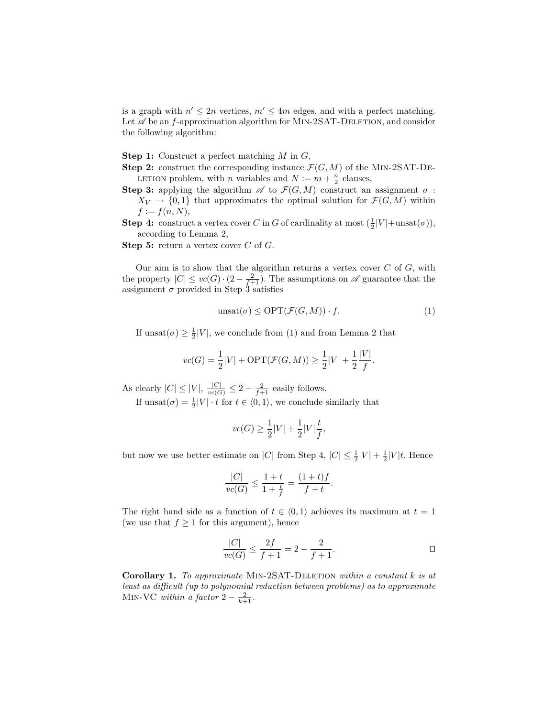is a graph with  $n' \leq 2n$  vertices,  $m' \leq 4m$  edges, and with a perfect matching. Let  $\mathscr A$  be an f-approximation algorithm for MIN-2SAT-DELETION, and consider the following algorithm:

**Step 1:** Construct a perfect matching  $M$  in  $G$ ,

- **Step 2:** construct the corresponding instance  $\mathcal{F}(G, M)$  of the MIN-2SAT-DE-LETION problem, with *n* variables and  $N := m + \frac{n}{2}$  clauses,
- Step 3: applying the algorithm  $\mathscr A$  to  $\mathcal F(G,M)$  construct an assignment  $\sigma$ :  $X_V \to \{0,1\}$  that approximates the optimal solution for  $\mathcal{F}(G,M)$  within  $f := f(n, N),$
- **Step 4:** construct a vertex cover C in G of cardinality at most  $(\frac{1}{2}|V| + \text{unsat}(\sigma))$ , according to Lemma 2,
- **Step 5:** return a vertex cover  $C$  of  $G$ .

Our aim is to show that the algorithm returns a vertex cover  $C$  of  $G$ , with the property  $|C| \leq vc(G) \cdot (2 - \frac{2}{f+1})$ . The assumptions on  $\mathscr A$  guarantee that the assignment  $\sigma$  provided in Step 3 satisfies

$$
\text{unsat}(\sigma) \le \text{OPT}(\mathcal{F}(G, M)) \cdot f. \tag{1}
$$

If  $\text{unsat}(\sigma) \geq \frac{1}{2}|V|$ , we conclude from (1) and from Lemma 2 that

$$
vc(G) = \frac{1}{2}|V| + \text{OPT}(\mathcal{F}(G, M)) \ge \frac{1}{2}|V| + \frac{1}{2}\frac{|V|}{f}.
$$

As clearly  $|C| \leq |V|$ ,  $\frac{|C|}{vc(G)} \leq 2 - \frac{2}{f+1}$  easily follows.

If  $\text{unsat}(\sigma) = \frac{1}{2}|V| \cdot t$  for  $t \in \langle 0, 1 \rangle$ , we conclude similarly that

$$
vc(G) \ge \frac{1}{2}|V| + \frac{1}{2}|V|\frac{t}{f},
$$

but now we use better estimate on |C| from Step 4,  $|C| \leq \frac{1}{2}|V| + \frac{1}{2}|V|t$ . Hence

$$
\frac{|C|}{vc(G)} \le \frac{1+t}{1+\frac{t}{f}} = \frac{(1+t)f}{f+t}.
$$

The right hand side as a function of  $t \in \langle 0, 1 \rangle$  achieves its maximum at  $t = 1$ (we use that  $f \geq 1$  for this argument), hence

$$
\frac{|C|}{vc(G)} \le \frac{2f}{f+1} = 2 - \frac{2}{f+1}.
$$

Corollary 1. To approximate Min-2SAT-Deletion within a constant k is at least as difficult (up to polynomial reduction between problems) as to approximate MIN-VC within a factor  $2 - \frac{2}{k+1}$ .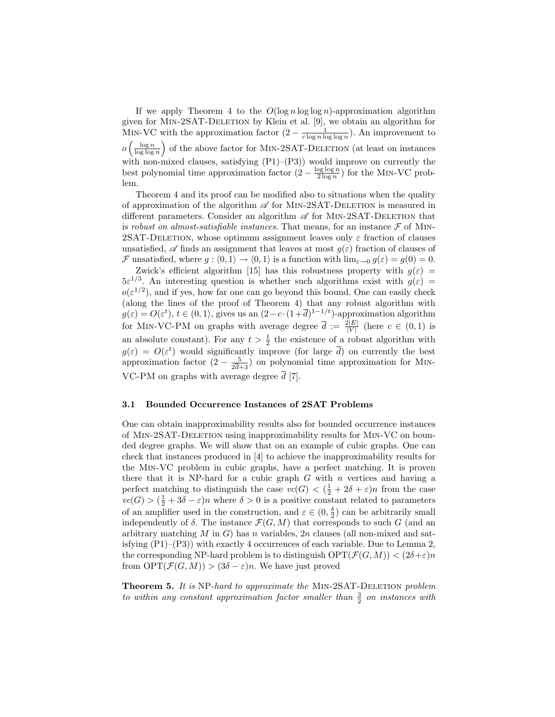If we apply Theorem 4 to the  $O(\log n \log \log n)$ -approximation algorithm given for Min-2SAT-Deletion by Klein et al. [9], we obtain an algorithm for MIN-VC with the approximation factor  $(2 - \frac{1}{c \log n \log \log n})$ . An improvement to  $o\left(\frac{\log n}{\log \log n}\right)$  of the above factor for MIN-2SAT-DELETION (at least on instances with non-mixed clauses, satisfying (P1)–(P3)) would improve on currently the best polynomial time approximation factor  $(2 - \frac{\log \log n}{2 \log n})$  for the MIN-VC problem.

Theorem 4 and its proof can be modified also to situations when the quality of approximation of the algorithm  $\mathscr A$  for MIN-2SAT-DELETION is measured in different parameters. Consider an algorithm  $\mathscr A$  for MIN-2SAT-DELETION that is robust on almost-satisfiable instances. That means, for an instance  $\mathcal F$  of MIN-2SAT-DELETION, whose optimum assignment leaves only  $\varepsilon$  fraction of clauses unsatisfied,  $\mathscr A$  finds an assignment that leaves at most  $g(\varepsilon)$  fraction of clauses of F unsatisfied, where  $g : (0, 1) \rightarrow (0, 1)$  is a function with  $\lim_{\varepsilon \to 0} g(\varepsilon) = g(0) = 0$ .

Zwick's efficient algorithm [15] has this robustness property with  $q(\varepsilon)$  =  $5\varepsilon^{1/3}$ . An interesting question is whether such algorithms exist with  $g(\varepsilon)$  =  $o(\varepsilon^{1/2})$ , and if yes, how far one can go beyond this bound. One can easily check (along the lines of the proof of Theorem 4) that any robust algorithm with  $g(\varepsilon) = O(\varepsilon^t), t \in (0, 1)$ , gives us an  $(2 - c \cdot (1 + \overline{d})^{1-1/t})$ -approximation algorithm for MIN-VC-PM on graphs with average degree  $\bar{d} := \frac{2|E|}{|V|}$  $\frac{2|E|}{|V|}$  (here  $c \in (0,1)$  is an absolute constant). For any  $t > \frac{1}{2}$  the existence of a robust algorithm with  $g(\varepsilon) = O(\varepsilon^t)$  would significantly improve (for large  $\overline{d}$ ) on currently the best approximation factor  $(2 - \frac{5}{2})$  $\frac{5}{2d+3}$  on polynomial time approximation for MIN-VC-PM on graphs with average degree  $\overline{d}$  [7].

### 3.1 Bounded Occurrence Instances of 2SAT Problems

One can obtain inapproximability results also for bounded occurrence instances of Min-2SAT-Deletion using inapproximability results for Min-VC on bounded degree graphs. We will show that on an example of cubic graphs. One can check that instances produced in [4] to achieve the inapproximability results for the Min-VC problem in cubic graphs, have a perfect matching. It is proven there that it is NP-hard for a cubic graph  $G$  with  $n$  vertices and having a perfect matching to distinguish the case  $vc(G) < (\frac{1}{2} + 2\delta + \varepsilon)n$  from the case  $vc(G) > (\frac{1}{2} + 3\delta - \varepsilon)n$  where  $\delta > 0$  is a positive constant related to parameters of an amplifier used in the construction, and  $\varepsilon \in (0, \frac{\delta}{2})$  can be arbitrarily small independently of  $\delta$ . The instance  $\mathcal{F}(G, M)$  that corresponds to such G (and an arbitrary matching  $M$  in  $G$ ) has n variables,  $2n$  clauses (all non-mixed and satisfying  $(P1)$ – $(P3)$ ) with exactly 4 occurrences of each variable. Due to Lemma 2, the corresponding NP-hard problem is to distinguish  $\text{OPT}(\mathcal{F}(G,M)) < (2\delta + \varepsilon)n$ from  $\text{OPT}(\mathcal{F}(G,M)) > (3\delta - \varepsilon)n$ . We have just proved

**Theorem 5.** It is NP-hard to approximate the MIN-2SAT-DELETION problem to within any constant approximation factor smaller than  $\frac{3}{2}$  on instances with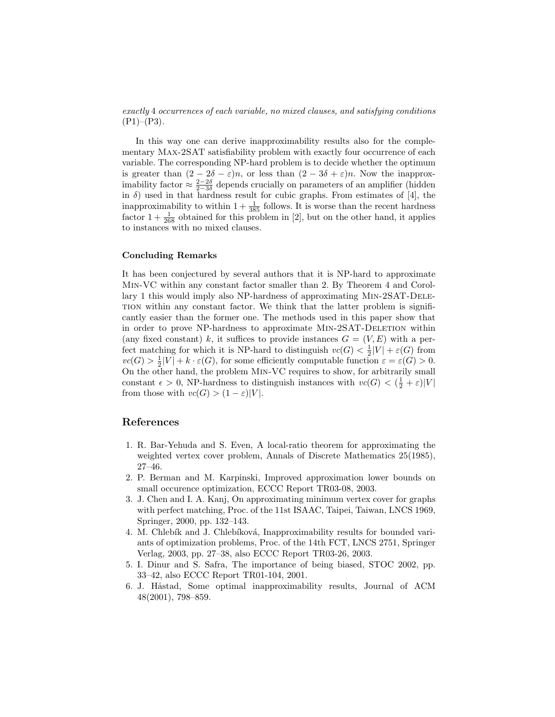exactly 4 occurrences of each variable, no mixed clauses, and satisfying conditions  $(P1)–(P3)$ .

In this way one can derive inapproximability results also for the complementary Max-2SAT satisfiability problem with exactly four occurrence of each variable. The corresponding NP-hard problem is to decide whether the optimum is greater than  $(2 - 2\delta - \varepsilon)n$ , or less than  $(2 - 3\delta + \varepsilon)n$ . Now the inapproximability factor  $\approx \frac{2-2\delta}{2-3\delta}$  depends crucially on parameters of an amplifier (hidden in  $\delta$ ) used in that hardness result for cubic graphs. From estimates of [4], the inapproximability to within  $1 + \frac{1}{385}$  follows. It is worse than the recent hardness factor  $1 + \frac{1}{268}$  obtained for this problem in [2], but on the other hand, it applies to instances with no mixed clauses.

### Concluding Remarks

It has been conjectured by several authors that it is NP-hard to approximate Min-VC within any constant factor smaller than 2. By Theorem 4 and Corollary 1 this would imply also NP-hardness of approximating Min-2SAT-Deletion within any constant factor. We think that the latter problem is significantly easier than the former one. The methods used in this paper show that in order to prove NP-hardness to approximate Min-2SAT-Deletion within (any fixed constant) k, it suffices to provide instances  $G = (V, E)$  with a perfect matching for which it is NP-hard to distinguish  $vc(G) < \frac{1}{2}|V| + \varepsilon(G)$  from  $vc(G) > \frac{1}{2}|V| + k \cdot \varepsilon(G)$ , for some efficiently computable function  $\varepsilon = \varepsilon(G) > 0$ . On the other hand, the problem Min-VC requires to show, for arbitrarily small constant  $\epsilon > 0$ , NP-hardness to distinguish instances with  $vc(G) < (\frac{1}{2} + \varepsilon)|V|$ from those with  $vc(G) > (1 - \varepsilon)|V|$ .

### References

- 1. R. Bar-Yehuda and S. Even, A local-ratio theorem for approximating the weighted vertex cover problem, Annals of Discrete Mathematics 25(1985), 27–46.
- 2. P. Berman and M. Karpinski, Improved approximation lower bounds on small occurence optimization, ECCC Report TR03-08, 2003.
- 3. J. Chen and I. A. Kanj, On approximating minimum vertex cover for graphs with perfect matching, Proc. of the 11st ISAAC, Taipei, Taiwan, LNCS 1969, Springer, 2000, pp. 132–143.
- 4. M. Chlebík and J. Chlebíková, Inapproximability results for bounded variants of optimization problems, Proc. of the 14th FCT, LNCS 2751, Springer Verlag, 2003, pp. 27–38, also ECCC Report TR03-26, 2003.
- 5. I. Dinur and S. Safra, The importance of being biased, STOC 2002, pp. 33–42, also ECCC Report TR01-104, 2001.
- 6. J. Håstad, Some optimal inapproximability results, Journal of ACM 48(2001), 798–859.